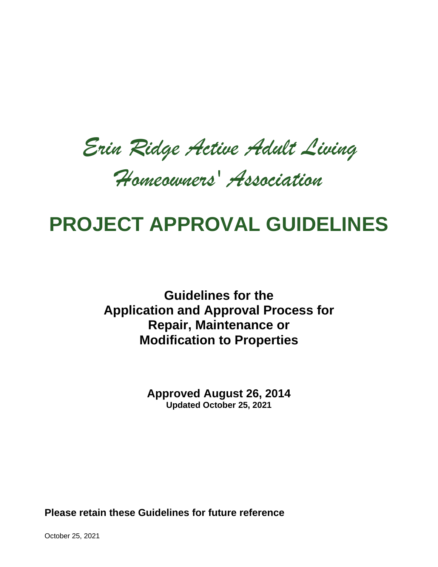*Erin Ridge Active Adult Living* 

*Homeowners' Association*

# **PROJECT APPROVAL GUIDELINES**

**Guidelines for the Application and Approval Process for Repair, Maintenance or Modification to Properties**

> **Approved August 26, 2014 Updated October 25, 2021**

**Please retain these Guidelines for future reference** 

October 25, 2021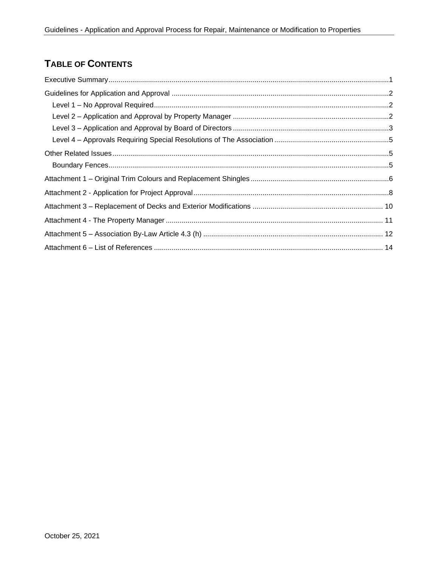# **TABLE OF CONTENTS**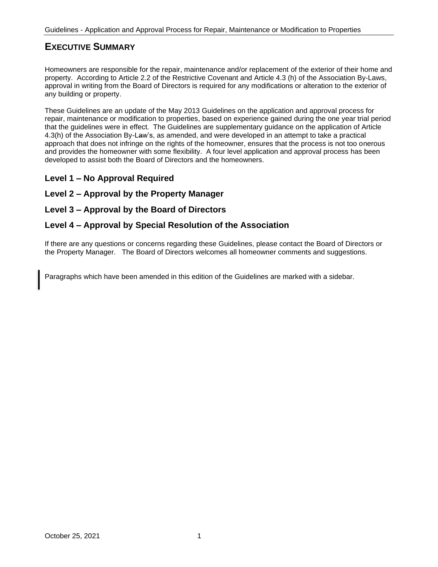# <span id="page-2-0"></span>**EXECUTIVE SUMMARY**

Homeowners are responsible for the repair, maintenance and/or replacement of the exterior of their home and property. According to Article 2.2 of the Restrictive Covenant and Article 4.3 (h) of the Association By-Laws, approval in writing from the Board of Directors is required for any modifications or alteration to the exterior of any building or property.

These Guidelines are an update of the May 2013 Guidelines on the application and approval process for repair, maintenance or modification to properties, based on experience gained during the one year trial period that the guidelines were in effect. The Guidelines are supplementary guidance on the application of Article 4.3(h) of the Association By-Law's, as amended, and were developed in an attempt to take a practical approach that does not infringe on the rights of the homeowner, ensures that the process is not too onerous and provides the homeowner with some flexibility. A four level application and approval process has been developed to assist both the Board of Directors and the homeowners.

### **Level 1 – No Approval Required**

### **Level 2 – Approval by the Property Manager**

### **Level 3 – Approval by the Board of Directors**

#### **Level 4 – Approval by Special Resolution of the Association**

If there are any questions or concerns regarding these Guidelines, please contact the Board of Directors or the Property Manager. The Board of Directors welcomes all homeowner comments and suggestions.

Paragraphs which have been amended in this edition of the Guidelines are marked with a sidebar.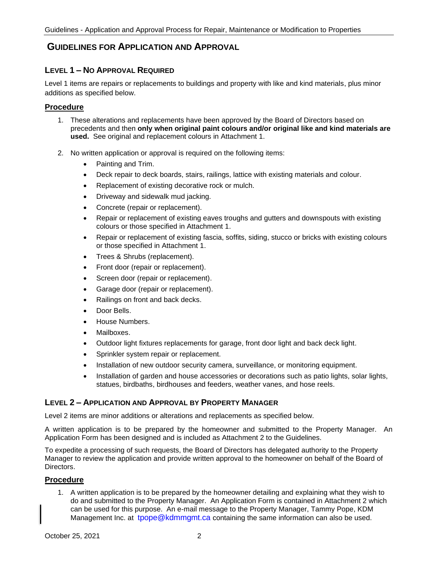# <span id="page-3-0"></span>**GUIDELINES FOR APPLICATION AND APPROVAL**

### <span id="page-3-1"></span>**LEVEL 1 – NO APPROVAL REQUIRED**

Level 1 items are repairs or replacements to buildings and property with like and kind materials, plus minor additions as specified below.

#### **Procedure**

- 1. These alterations and replacements have been approved by the Board of Directors based on precedents and then **only when original paint colours and/or original like and kind materials are used.** See original and replacement colours in Attachment 1.
- 2. No written application or approval is required on the following items:
	- Painting and Trim.
	- Deck repair to deck boards, stairs, railings, lattice with existing materials and colour.
	- Replacement of existing decorative rock or mulch.
	- Driveway and sidewalk mud jacking.
	- Concrete (repair or replacement).
	- Repair or replacement of existing eaves troughs and gutters and downspouts with existing colours or those specified in Attachment 1.
	- Repair or replacement of existing fascia, soffits, siding, stucco or bricks with existing colours or those specified in Attachment 1.
	- Trees & Shrubs (replacement).
	- Front door (repair or replacement).
	- Screen door (repair or replacement).
	- Garage door (repair or replacement).
	- Railings on front and back decks.
	- Door Bells.
	- House Numbers.
	- Mailboxes.
	- Outdoor light fixtures replacements for garage, front door light and back deck light.
	- Sprinkler system repair or replacement.
	- Installation of new outdoor security camera, surveillance, or monitoring equipment.
	- Installation of garden and house accessories or decorations such as patio lights, solar lights, statues, birdbaths, birdhouses and feeders, weather vanes, and hose reels.

### <span id="page-3-2"></span>**LEVEL 2 – APPLICATION AND APPROVAL BY PROPERTY MANAGER**

Level 2 items are minor additions or alterations and replacements as specified below.

A written application is to be prepared by the homeowner and submitted to the Property Manager. An Application Form has been designed and is included as Attachment 2 to the Guidelines.

To expedite a processing of such requests, the Board of Directors has delegated authority to the Property Manager to review the application and provide written approval to the homeowner on behalf of the Board of Directors.

# **Procedure**

1. A written application is to be prepared by the homeowner detailing and explaining what they wish to do and submitted to the Property Manager. An Application Form is contained in Attachment 2 which can be used for this purpose. An e-mail message to the Property Manager, Tammy Pope, KDM Management Inc. at tpope@kdmmgmt.ca containing the same information can also be used.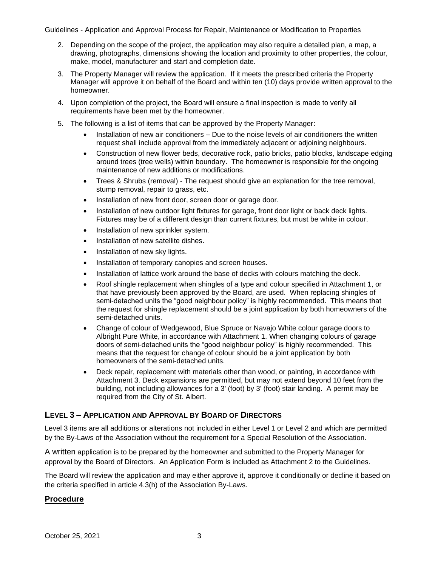#### Guidelines - Application and Approval Process for Repair, Maintenance or Modification to Properties

- 2. Depending on the scope of the project, the application may also require a detailed plan, a map, a drawing, photographs, dimensions showing the location and proximity to other properties, the colour, make, model, manufacturer and start and completion date.
- 3. The Property Manager will review the application. If it meets the prescribed criteria the Property Manager will approve it on behalf of the Board and within ten (10) days provide written approval to the homeowner.
- 4. Upon completion of the project, the Board will ensure a final inspection is made to verify all requirements have been met by the homeowner.
- 5. The following is a list of items that can be approved by the Property Manager:
	- Installation of new air conditioners Due to the noise levels of air conditioners the written request shall include approval from the immediately adjacent or adjoining neighbours.
	- Construction of new flower beds, decorative rock, patio bricks, patio blocks, landscape edging around trees (tree wells) within boundary. The homeowner is responsible for the ongoing maintenance of new additions or modifications.
	- Trees & Shrubs (removal) The request should give an explanation for the tree removal, stump removal, repair to grass, etc.
	- Installation of new front door, screen door or garage door.
	- Installation of new outdoor light fixtures for garage, front door light or back deck lights. Fixtures may be of a different design than current fixtures, but must be white in colour.
	- Installation of new sprinkler system.
	- Installation of new satellite dishes.
	- Installation of new sky lights.
	- Installation of temporary canopies and screen houses.
	- Installation of lattice work around the base of decks with colours matching the deck.
	- Roof shingle replacement when shingles of a type and colour specified in Attachment 1, or that have previously been approved by the Board, are used. When replacing shingles of semi-detached units the "good neighbour policy" is highly recommended. This means that the request for shingle replacement should be a joint application by both homeowners of the semi-detached units.
	- Change of colour of Wedgewood, Blue Spruce or Navajo White colour garage doors to Albright Pure White, in accordance with Attachment 1. When changing colours of garage doors of semi-detached units the "good neighbour policy" is highly recommended. This means that the request for change of colour should be a joint application by both homeowners of the semi-detached units.
	- Deck repair, replacement with materials other than wood, or painting, in accordance with Attachment 3. Deck expansions are permitted, but may not extend beyond 10 feet from the building, not including allowances for a 3' (foot) by 3' (foot) stair landing. A permit may be required from the City of St. Albert.

### <span id="page-4-0"></span>**LEVEL 3 – APPLICATION AND APPROVAL BY BOARD OF DIRECTORS**

Level 3 items are all additions or alterations not included in either Level 1 or Level 2 and which are permitted by the By-Laws of the Association without the requirement for a Special Resolution of the Association.

A written application is to be prepared by the homeowner and submitted to the Property Manager for approval by the Board of Directors. An Application Form is included as Attachment 2 to the Guidelines.

The Board will review the application and may either approve it, approve it conditionally or decline it based on the criteria specified in article 4.3(h) of the Association By-Laws.

#### **Procedure**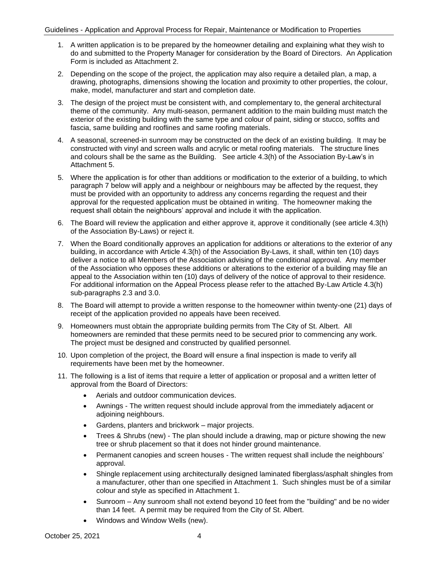- 1. A written application is to be prepared by the homeowner detailing and explaining what they wish to do and submitted to the Property Manager for consideration by the Board of Directors. An Application Form is included as Attachment 2.
- 2. Depending on the scope of the project, the application may also require a detailed plan, a map, a drawing, photographs, dimensions showing the location and proximity to other properties, the colour, make, model, manufacturer and start and completion date.
- 3. The design of the project must be consistent with, and complementary to, the general architectural theme of the community. Any multi-season, permanent addition to the main building must match the exterior of the existing building with the same type and colour of paint, siding or stucco, soffits and fascia, same building and rooflines and same roofing materials.
- 4. A seasonal, screened-in sunroom may be constructed on the deck of an existing building. It may be constructed with vinyl and screen walls and acrylic or metal roofing materials. The structure lines and colours shall be the same as the Building. See article 4.3(h) of the Association By-Law's in Attachment 5.
- 5. Where the application is for other than additions or modification to the exterior of a building, to which paragraph 7 below will apply and a neighbour or neighbours may be affected by the request, they must be provided with an opportunity to address any concerns regarding the request and their approval for the requested application must be obtained in writing. The homeowner making the request shall obtain the neighbours' approval and include it with the application.
- 6. The Board will review the application and either approve it, approve it conditionally (see article 4.3(h) of the Association By-Laws) or reject it.
- 7. When the Board conditionally approves an application for additions or alterations to the exterior of any building, in accordance with Article 4.3(h) of the Association By-Laws, it shall, within ten (10) days deliver a notice to all Members of the Association advising of the conditional approval. Any member of the Association who opposes these additions or alterations to the exterior of a building may file an appeal to the Association within ten (10) days of delivery of the notice of approval to their residence. For additional information on the Appeal Process please refer to the attached By-Law Article 4.3(h) sub-paragraphs 2.3 and 3.0.
- 8. The Board will attempt to provide a written response to the homeowner within twenty-one (21) days of receipt of the application provided no appeals have been received.
- 9. Homeowners must obtain the appropriate building permits from The City of St. Albert. All homeowners are reminded that these permits need to be secured prior to commencing any work. The project must be designed and constructed by qualified personnel.
- 10. Upon completion of the project, the Board will ensure a final inspection is made to verify all requirements have been met by the homeowner.
- 11. The following is a list of items that require a letter of application or proposal and a written letter of approval from the Board of Directors:
	- Aerials and outdoor communication devices.
	- Awnings The written request should include approval from the immediately adjacent or adjoining neighbours.
	- Gardens, planters and brickwork major projects.
	- Trees & Shrubs (new) The plan should include a drawing, map or picture showing the new tree or shrub placement so that it does not hinder ground maintenance.
	- Permanent canopies and screen houses The written request shall include the neighbours' approval.
	- Shingle replacement using architecturally designed laminated fiberglass/asphalt shingles from a manufacturer, other than one specified in Attachment 1. Such shingles must be of a similar colour and style as specified in Attachment 1.
	- Sunroom Any sunroom shall not extend beyond 10 feet from the "building" and be no wider than 14 feet. A permit may be required from the City of St. Albert.
	- Windows and Window Wells (new).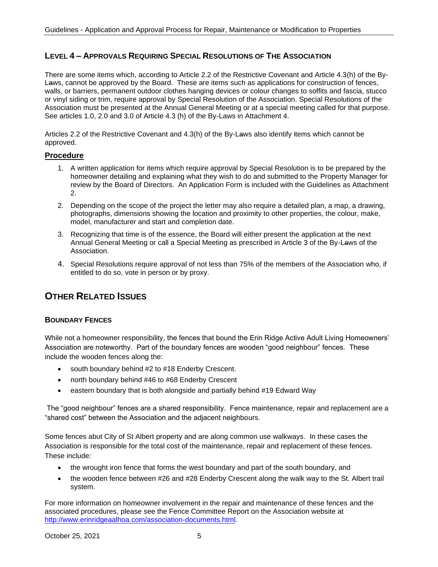# <span id="page-6-0"></span>**LEVEL 4 – APPROVALS REQUIRING SPECIAL RESOLUTIONS OF THE ASSOCIATION**

There are some items which, according to Article 2.2 of the Restrictive Covenant and Article 4.3(h) of the By-Laws, cannot be approved by the Board. These are items such as applications for construction of fences, walls, or barriers, permanent outdoor clothes hanging devices or colour changes to soffits and fascia, stucco or vinyl siding or trim, require approval by Special Resolution of the Association. Special Resolutions of the Association must be presented at the Annual General Meeting or at a special meeting called for that purpose. See articles 1.0, 2.0 and 3.0 of Article 4.3 (h) of the By-Laws in Attachment 4.

Articles 2.2 of the Restrictive Covenant and 4.3(h) of the By-Laws also identify items which cannot be approved.

#### **Procedure**

- 1. A written application for items which require approval by Special Resolution is to be prepared by the homeowner detailing and explaining what they wish to do and submitted to the Property Manager for review by the Board of Directors. An Application Form is included with the Guidelines as Attachment 2.
- 2. Depending on the scope of the project the letter may also require a detailed plan, a map, a drawing, photographs, dimensions showing the location and proximity to other properties, the colour, make, model, manufacturer and start and completion date.
- 3. Recognizing that time is of the essence, the Board will either present the application at the next Annual General Meeting or call a Special Meeting as prescribed in Article 3 of the By-Laws of the Association.
- 4. Special Resolutions require approval of not less than 75% of the members of the Association who, if entitled to do so, vote in person or by proxy.

# <span id="page-6-1"></span>**OTHER RELATED ISSUES**

#### <span id="page-6-2"></span>**BOUNDARY FENCES**

While not a homeowner responsibility, the fences that bound the Erin Ridge Active Adult Living Homeowners' Association are noteworthy. Part of the boundary fences are wooden "good neighbour" fences. These include the wooden fences along the:

- south boundary behind #2 to #18 Enderby Crescent.
- north boundary behind #46 to #68 Enderby Crescent
- eastern boundary that is both alongside and partially behind #19 Edward Way

The "good neighbour" fences are a shared responsibility. Fence maintenance, repair and replacement are a "shared cost" between the Association and the adjacent neighbours.

Some fences abut City of St Albert property and are along common use walkways. In these cases the Association is responsible for the total cost of the maintenance, repair and replacement of these fences. These include:

- the wrought iron fence that forms the west boundary and part of the south boundary, and
- the wooden fence between #26 and #28 Enderby Crescent along the walk way to the St. Albert trail system.

For more information on homeowner involvement in the repair and maintenance of these fences and the associated procedures, please see the Fence Committee Report on the Association website at [http://www.erinridgeaalhoa.com/association-documents.html.](http://www.erinridgeaalhoa.com/association-documents.html)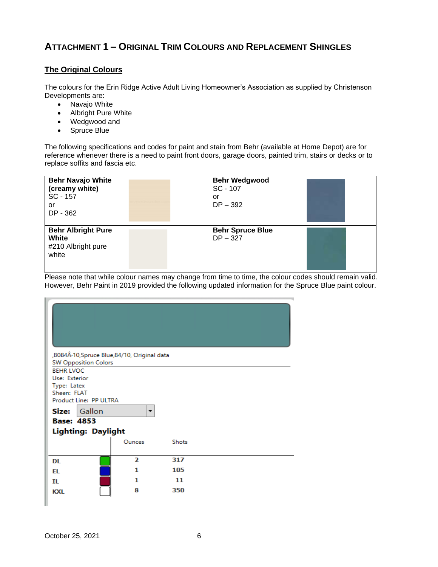# <span id="page-7-0"></span>**ATTACHMENT 1 – ORIGINAL TRIM COLOURS AND REPLACEMENT SHINGLES**

#### **The Original Colours**

The colours for the Erin Ridge Active Adult Living Homeowner's Association as supplied by Christenson Developments are:

- Navajo White
- Albright Pure White
- Wedgwood and
- Spruce Blue

The following specifications and codes for paint and stain from Behr (available at Home Depot) are for reference whenever there is a need to paint front doors, garage doors, painted trim, stairs or decks or to replace soffits and fascia etc.

| <b>Behr Navajo White</b><br>(creamy white)<br>SC - 157<br>or<br>DP - 362 | <b>Behr Wedgwood</b><br>$SC - 107$<br>or<br>$DP - 392$ |  |
|--------------------------------------------------------------------------|--------------------------------------------------------|--|
| <b>Behr Albright Pure</b><br>White<br>#210 Albright pure<br>white        | <b>Behr Spruce Blue</b><br>$DP - 327$                  |  |

Please note that while colour names may change from time to time, the colour codes should remain valid. However, Behr Paint in 2019 provided the following updated information for the Spruce Blue paint colour.

|                   | <b>SW Opposition Colors</b> | , B084Â-10, Spruce Blue, 84/10, Original data |              |  |
|-------------------|-----------------------------|-----------------------------------------------|--------------|--|
| <b>BEHR LVOC</b>  |                             |                                               |              |  |
| Use: Exterior     |                             |                                               |              |  |
| Type: Latex       |                             |                                               |              |  |
| Sheen: FLAT       |                             |                                               |              |  |
|                   | Product Line: PP ULTRA      |                                               |              |  |
| Size:             | Gallon                      | ▼                                             |              |  |
| <b>Base: 4853</b> |                             |                                               |              |  |
|                   | <b>Lighting: Daylight</b>   |                                               |              |  |
|                   |                             |                                               |              |  |
|                   |                             | Ounces                                        | <b>Shots</b> |  |
| DL                |                             | $\overline{\mathbf{z}}$                       | 317          |  |
| EL                |                             | 1                                             | 105          |  |
|                   |                             | 1                                             | 11           |  |
| IL                |                             |                                               |              |  |
| <b>KXL</b>        |                             | 8                                             | 350          |  |
|                   |                             |                                               |              |  |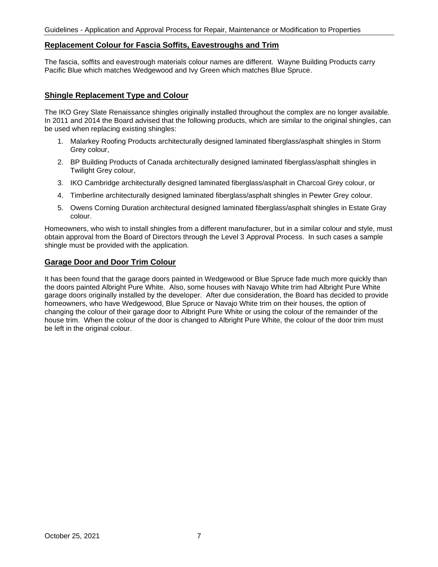#### **Replacement Colour for Fascia Soffits, Eavestroughs and Trim**

The fascia, soffits and eavestrough materials colour names are different. Wayne Building Products carry Pacific Blue which matches Wedgewood and Ivy Green which matches Blue Spruce.

#### **Shingle Replacement Type and Colour**

The IKO Grey Slate Renaissance shingles originally installed throughout the complex are no longer available. In 2011 and 2014 the Board advised that the following products, which are similar to the original shingles, can be used when replacing existing shingles:

- 1. Malarkey Roofing Products architecturally designed laminated fiberglass/asphalt shingles in Storm Grey colour,
- 2. BP Building Products of Canada architecturally designed laminated fiberglass/asphalt shingles in Twilight Grey colour,
- 3. IKO Cambridge architecturally designed laminated fiberglass/asphalt in Charcoal Grey colour, or
- 4. Timberline architecturally designed laminated fiberglass/asphalt shingles in Pewter Grey colour.
- 5. Owens Corning Duration architectural designed laminated fiberglass/asphalt shingles in Estate Gray colour.

Homeowners, who wish to install shingles from a different manufacturer, but in a similar colour and style, must obtain approval from the Board of Directors through the Level 3 Approval Process. In such cases a sample shingle must be provided with the application.

#### **Garage Door and Door Trim Colour**

It has been found that the garage doors painted in Wedgewood or Blue Spruce fade much more quickly than the doors painted Albright Pure White. Also, some houses with Navajo White trim had Albright Pure White garage doors originally installed by the developer. After due consideration, the Board has decided to provide homeowners, who have Wedgewood, Blue Spruce or Navajo White trim on their houses, the option of changing the colour of their garage door to Albright Pure White or using the colour of the remainder of the house trim. When the colour of the door is changed to Albright Pure White, the colour of the door trim must be left in the original colour.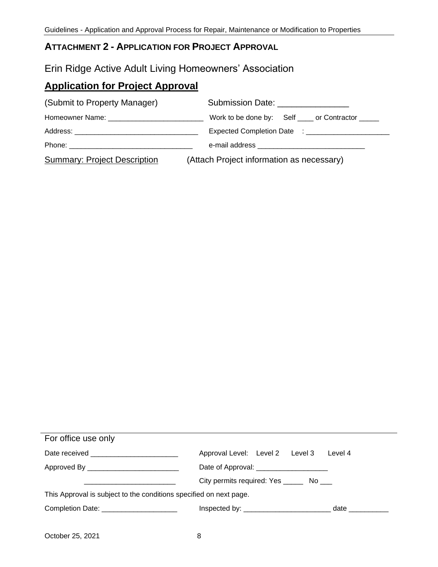# <span id="page-9-0"></span>**ATTACHMENT 2 - APPLICATION FOR PROJECT APPROVAL**

# Erin Ridge Active Adult Living Homeowners' Association

# **Application for Project Approval**

| (Submit to Property Manager)        | Submission Date: ________________         |
|-------------------------------------|-------------------------------------------|
|                                     |                                           |
|                                     |                                           |
|                                     |                                           |
| <b>Summary: Project Description</b> | (Attach Project information as necessary) |

| For office use only                                                |                                             |         |  |  |
|--------------------------------------------------------------------|---------------------------------------------|---------|--|--|
| Date received ___________________________                          | Approval Level: Level 2 Level 3             | Level 4 |  |  |
| Approved By ____________________________                           | Date of Approval: ______________________    |         |  |  |
|                                                                    | City permits required: Yes ________ No ____ |         |  |  |
| This Approval is subject to the conditions specified on next page. |                                             |         |  |  |
| Completion Date: ______________________                            |                                             | date    |  |  |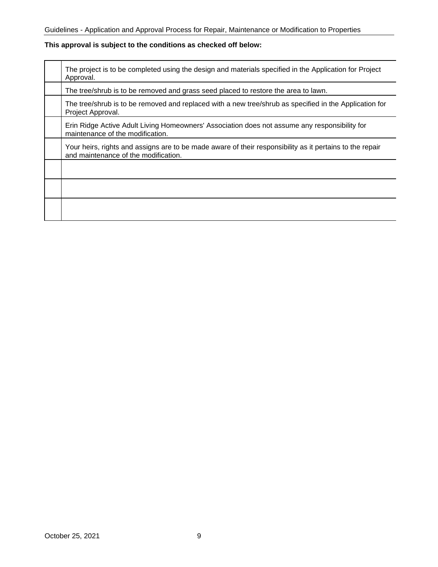# **This approval is subject to the conditions as checked off below:**

| The project is to be completed using the design and materials specified in the Application for Project<br>Approval.                              |
|--------------------------------------------------------------------------------------------------------------------------------------------------|
| The tree/shrub is to be removed and grass seed placed to restore the area to lawn.                                                               |
| The tree/shrub is to be removed and replaced with a new tree/shrub as specified in the Application for<br>Project Approval.                      |
| Erin Ridge Active Adult Living Homeowners' Association does not assume any responsibility for<br>maintenance of the modification.                |
| Your heirs, rights and assigns are to be made aware of their responsibility as it pertains to the repair<br>and maintenance of the modification. |
|                                                                                                                                                  |
|                                                                                                                                                  |
|                                                                                                                                                  |
|                                                                                                                                                  |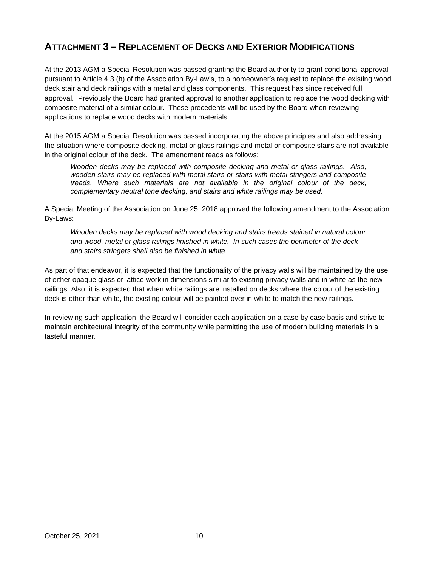# <span id="page-11-0"></span>**ATTACHMENT 3 – REPLACEMENT OF DECKS AND EXTERIOR MODIFICATIONS**

At the 2013 AGM a Special Resolution was passed granting the Board authority to grant conditional approval pursuant to Article 4.3 (h) of the Association By-Law's, to a homeowner's request to replace the existing wood deck stair and deck railings with a metal and glass components. This request has since received full approval. Previously the Board had granted approval to another application to replace the wood decking with composite material of a similar colour. These precedents will be used by the Board when reviewing applications to replace wood decks with modern materials.

At the 2015 AGM a Special Resolution was passed incorporating the above principles and also addressing the situation where composite decking, metal or glass railings and metal or composite stairs are not available in the original colour of the deck. The amendment reads as follows:

*Wooden decks may be replaced with composite decking and metal or glass railings. Also, wooden stairs may be replaced with metal stairs or stairs with metal stringers and composite treads. Where such materials are not available in the original colour of the deck, complementary neutral tone decking, and stairs and white railings may be used.* 

A Special Meeting of the Association on June 25, 2018 approved the following amendment to the Association By-Laws:

*Wooden decks may be replaced with wood decking and stairs treads stained in natural colour and wood, metal or glass railings finished in white. In such cases the perimeter of the deck and stairs stringers shall also be finished in white.* 

As part of that endeavor, it is expected that the functionality of the privacy walls will be maintained by the use of either opaque glass or lattice work in dimensions similar to existing privacy walls and in white as the new railings. Also, it is expected that when white railings are installed on decks where the colour of the existing deck is other than white, the existing colour will be painted over in white to match the new railings.

In reviewing such application, the Board will consider each application on a case by case basis and strive to maintain architectural integrity of the community while permitting the use of modern building materials in a tasteful manner.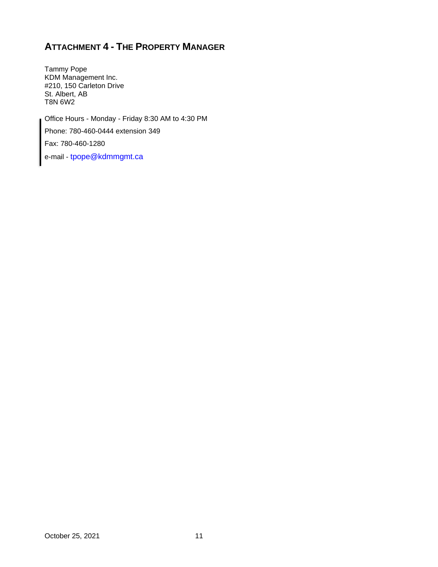# <span id="page-12-0"></span>**ATTACHMENT 4 - THE PROPERTY MANAGER**

Tammy Pope KDM Management Inc. #210, 150 Carleton Drive St. Albert, AB T8N 6W2

Office Hours - Monday - Friday 8:30 AM to 4:30 PM Phone: 780-460-0444 extension 349 Fax: 780-460-1280

e-mail - tpope@kdmmgmt.ca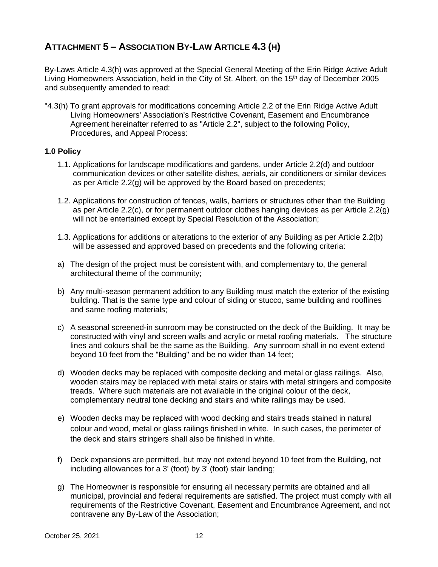# <span id="page-13-0"></span>**ATTACHMENT 5 – ASSOCIATION BY-LAW ARTICLE 4.3 (H)**

By-Laws Article 4.3(h) was approved at the Special General Meeting of the Erin Ridge Active Adult Living Homeowners Association, held in the City of St. Albert, on the 15<sup>th</sup> day of December 2005 and subsequently amended to read:

"4.3(h) To grant approvals for modifications concerning Article 2.2 of the Erin Ridge Active Adult Living Homeowners' Association's Restrictive Covenant, Easement and Encumbrance Agreement hereinafter referred to as "Article 2.2", subject to the following Policy, Procedures, and Appeal Process:

### **1.0 Policy**

- 1.1. Applications for landscape modifications and gardens, under Article 2.2(d) and outdoor communication devices or other satellite dishes, aerials, air conditioners or similar devices as per Article 2.2(g) will be approved by the Board based on precedents;
- 1.2. Applications for construction of fences, walls, barriers or structures other than the Building as per Article 2.2(c), or for permanent outdoor clothes hanging devices as per Article 2.2(g) will not be entertained except by Special Resolution of the Association;
- 1.3. Applications for additions or alterations to the exterior of any Building as per Article 2.2(b) will be assessed and approved based on precedents and the following criteria:
- a) The design of the project must be consistent with, and complementary to, the general architectural theme of the community;
- b) Any multi-season permanent addition to any Building must match the exterior of the existing building. That is the same type and colour of siding or stucco, same building and rooflines and same roofing materials;
- c) A seasonal screened-in sunroom may be constructed on the deck of the Building. It may be constructed with vinyl and screen walls and acrylic or metal roofing materials. The structure lines and colours shall be the same as the Building. Any sunroom shall in no event extend beyond 10 feet from the "Building" and be no wider than 14 feet;
- d) Wooden decks may be replaced with composite decking and metal or glass railings. Also, wooden stairs may be replaced with metal stairs or stairs with metal stringers and composite treads. Where such materials are not available in the original colour of the deck, complementary neutral tone decking and stairs and white railings may be used.
- e) Wooden decks may be replaced with wood decking and stairs treads stained in natural colour and wood, metal or glass railings finished in white. In such cases, the perimeter of the deck and stairs stringers shall also be finished in white.
- f) Deck expansions are permitted, but may not extend beyond 10 feet from the Building, not including allowances for a 3' (foot) by 3' (foot) stair landing;
- g) The Homeowner is responsible for ensuring all necessary permits are obtained and all municipal, provincial and federal requirements are satisfied. The project must comply with all requirements of the Restrictive Covenant, Easement and Encumbrance Agreement, and not contravene any By-Law of the Association;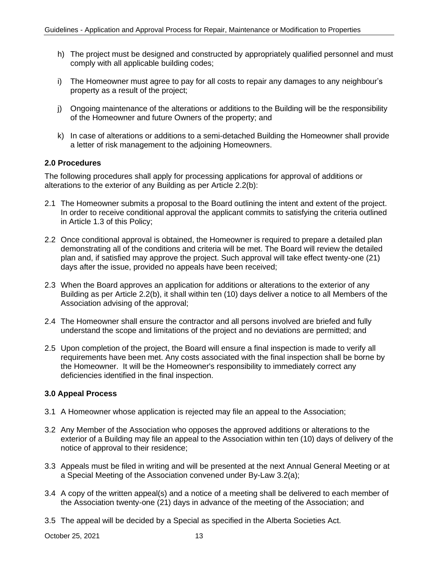- h) The project must be designed and constructed by appropriately qualified personnel and must comply with all applicable building codes;
- i) The Homeowner must agree to pay for all costs to repair any damages to any neighbour's property as a result of the project;
- j) Ongoing maintenance of the alterations or additions to the Building will be the responsibility of the Homeowner and future Owners of the property; and
- k) In case of alterations or additions to a semi-detached Building the Homeowner shall provide a letter of risk management to the adjoining Homeowners.

### **2.0 Procedures**

The following procedures shall apply for processing applications for approval of additions or alterations to the exterior of any Building as per Article 2.2(b):

- 2.1 The Homeowner submits a proposal to the Board outlining the intent and extent of the project. In order to receive conditional approval the applicant commits to satisfying the criteria outlined in Article 1.3 of this Policy;
- 2.2 Once conditional approval is obtained, the Homeowner is required to prepare a detailed plan demonstrating all of the conditions and criteria will be met. The Board will review the detailed plan and, if satisfied may approve the project. Such approval will take effect twenty-one (21) days after the issue, provided no appeals have been received;
- 2.3 When the Board approves an application for additions or alterations to the exterior of any Building as per Article 2.2(b), it shall within ten (10) days deliver a notice to all Members of the Association advising of the approval;
- 2.4 The Homeowner shall ensure the contractor and all persons involved are briefed and fully understand the scope and limitations of the project and no deviations are permitted; and
- 2.5 Upon completion of the project, the Board will ensure a final inspection is made to verify all requirements have been met. Any costs associated with the final inspection shall be borne by the Homeowner. It will be the Homeowner's responsibility to immediately correct any deficiencies identified in the final inspection.

### **3.0 Appeal Process**

- 3.1 A Homeowner whose application is rejected may file an appeal to the Association;
- 3.2 Any Member of the Association who opposes the approved additions or alterations to the exterior of a Building may file an appeal to the Association within ten (10) days of delivery of the notice of approval to their residence;
- 3.3 Appeals must be filed in writing and will be presented at the next Annual General Meeting or at a Special Meeting of the Association convened under By-Law 3.2(a);
- 3.4 A copy of the written appeal(s) and a notice of a meeting shall be delivered to each member of the Association twenty-one (21) days in advance of the meeting of the Association; and
- 3.5 The appeal will be decided by a Special as specified in the Alberta Societies Act.

October 25, 2021 13